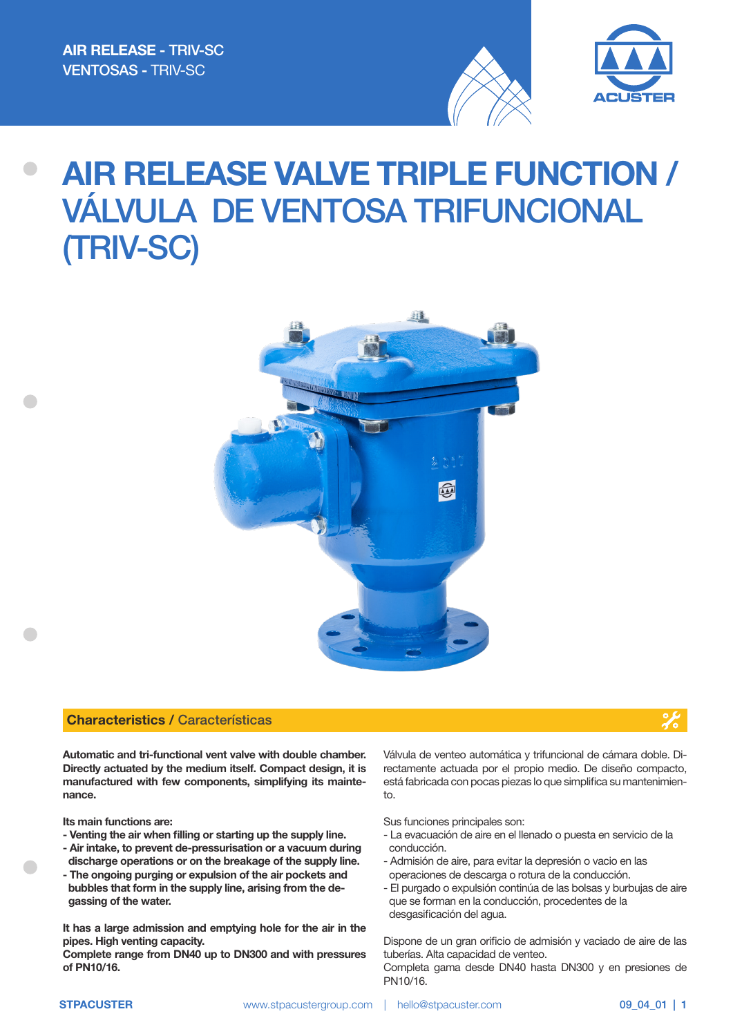



# AIR RELEASE VALVE TRIPLE FUNCTION / VÁLVULA DE VENTOSA TRIFUNCIONAL (TRIV-SC)



### Characteristics / Características



Automatic and tri-functional vent valve with double chamber. Directly actuated by the medium itself. Compact design, it is manufactured with few components, simplifying its maintenance.

Its main functions are:

- Venting the air when filling or starting up the supply line.
- Air intake, to prevent de-pressurisation or a vacuum during discharge operations or on the breakage of the supply line.
- The ongoing purging or expulsion of the air pockets and bubbles that form in the supply line, arising from the de gassing of the water.

It has a large admission and emptying hole for the air in the pipes. High venting capacity.

Complete range from DN40 up to DN300 and with pressures of PN10/16.

Válvula de venteo automática y trifuncional de cámara doble. Directamente actuada por el propio medio. De diseño compacto, está fabricada con pocas piezas lo que simplifica su mantenimiento.

Sus funciones principales son:

- La evacuación de aire en el llenado o puesta en servicio de la conducción.
- Admisión de aire, para evitar la depresión o vacio en las operaciones de descarga o rotura de la conducción.
- El purgado o expulsión continúa de las bolsas y burbujas de aire que se forman en la conducción, procedentes de la desgasificación del agua.

Dispone de un gran orificio de admisión y vaciado de aire de las tuberías. Alta capacidad de venteo.

Completa gama desde DN40 hasta DN300 y en presiones de PN10/16.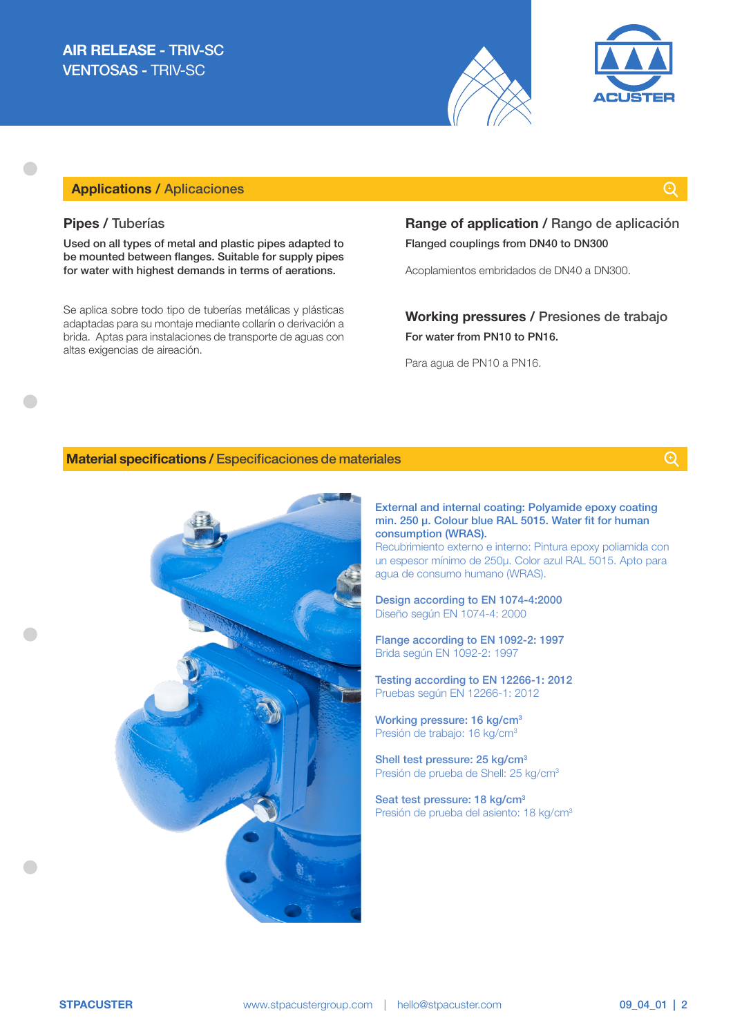



## Applications / Aplicaciones

### Pipes / Tuberías

Used on all types of metal and plastic pipes adapted to be mounted between flanges. Suitable for supply pipes for water with highest demands in terms of aerations.

Se aplica sobre todo tipo de tuberías metálicas y plásticas adaptadas para su montaje mediante collarín o derivación a brida. Aptas para instalaciones de transporte de aguas con altas exigencias de aireación.

## Range of application / Rango de aplicación Flanged couplings from DN40 to DN300

Acoplamientos embridados de DN40 a DN300.

## Working pressures / Presiones de trabajo For water from PN10 to PN16.

Para agua de PN10 a PN16.

#### Material specifications / Especificaciones de materiales

 $\odot$ 



External and internal coating: Polyamide epoxy coating min. 250 μ. Colour blue RAL 5015. Water fit for human consumption (WRAS).

Recubrimiento externo e interno: Pintura epoxy poliamida con un espesor mínimo de 250μ. Color azul RAL 5015. Apto para agua de consumo humano (WRAS).

Design according to EN 1074-4:2000 Diseño según EN 1074-4: 2000

Flange according to EN 1092-2: 1997 Brida según EN 1092-2: 1997

Testing according to EN 12266-1: 2012 Pruebas según EN 12266-1: 2012

Working pressure: 16 kg/cm<sup>3</sup> Presión de trabajo: 16 kg/cm3

Shell test pressure: 25 kg/cm<sup>3</sup> Presión de prueba de Shell: 25 kg/cm3

Seat test pressure: 18 kg/cm<sup>3</sup> Presión de prueba del asiento: 18 kg/cm3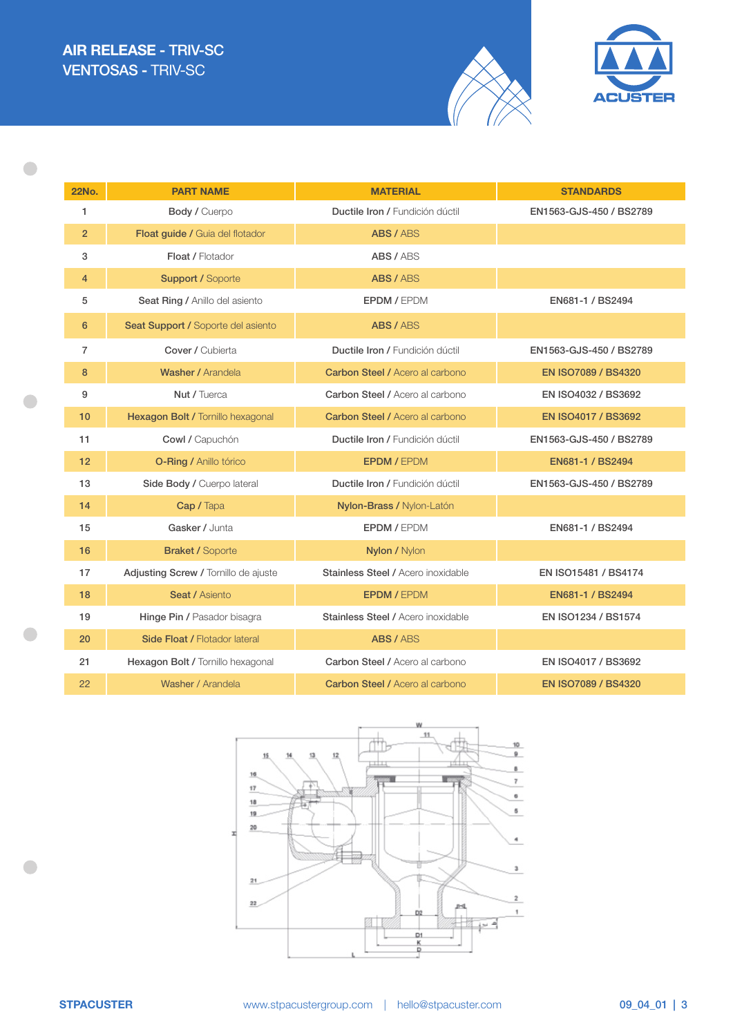$\bullet$ 

 $\bullet$ 

 $\qquad \qquad \bullet$ 

 $\bullet$ 





| <b>22No.</b>   | <b>PART NAME</b>                     | <b>MATERIAL</b>                        | <b>STANDARDS</b>           |  |  |
|----------------|--------------------------------------|----------------------------------------|----------------------------|--|--|
| 1              | Body / Cuerpo                        | Ductile Iron / Fundición dúctil        | EN1563-GJS-450 / BS2789    |  |  |
| $\overline{2}$ | Float guide / Guia del flotador      | ABS / ABS                              |                            |  |  |
| 3              | Float / Flotador                     | ABS / ABS                              |                            |  |  |
| $\overline{4}$ | <b>Support / Soporte</b>             | ABS / ABS                              |                            |  |  |
| 5              | Seat Ring / Anillo del asiento       | <b>EPDM / EPDM</b>                     | EN681-1 / BS2494           |  |  |
| 6              | Seat Support / Soporte del asiento   | ABS / ABS                              |                            |  |  |
| $\overline{7}$ | Cover / Cubierta                     | Ductile Iron / Fundición dúctil        | EN1563-GJS-450 / BS2789    |  |  |
| 8              | Washer / Arandela                    | <b>Carbon Steel / Acero al carbono</b> | <b>EN ISO7089 / BS4320</b> |  |  |
| 9              | Nut / Tuerca                         | Carbon Steel / Acero al carbono        | EN ISO4032 / BS3692        |  |  |
| 10             | Hexagon Bolt / Tornillo hexagonal    | <b>Carbon Steel / Acero al carbono</b> | EN ISO4017 / BS3692        |  |  |
| 11             | Cowl / Capuchón                      | Ductile Iron / Fundición dúctil        | EN1563-GJS-450 / BS2789    |  |  |
| 12             | <b>O-Ring / Anillo tórico</b>        | <b>EPDM / EPDM</b>                     | EN681-1 / BS2494           |  |  |
| 13             | Side Body / Cuerpo lateral           | Ductile Iron / Fundición dúctil        | EN1563-GJS-450 / BS2789    |  |  |
| 14             | Cap / Tapa                           | Nylon-Brass / Nylon-Latón              |                            |  |  |
| 15             | Gasker / Junta                       | <b>EPDM / EPDM</b>                     | EN681-1 / BS2494           |  |  |
| 16             | <b>Braket / Soporte</b>              | Nylon / Nylon                          |                            |  |  |
| 17             | Adjusting Screw / Tornillo de ajuste | Stainless Steel / Acero inoxidable     | EN ISO15481 / BS4174       |  |  |
| 18             | <b>Seat / Asiento</b>                | <b>EPDM / EPDM</b>                     | EN681-1 / BS2494           |  |  |
| 19             | Hinge Pin / Pasador bisagra          | Stainless Steel / Acero inoxidable     | EN ISO1234 / BS1574        |  |  |
| 20             | Side Float / Flotador lateral        | ABS / ABS                              |                            |  |  |
| 21             | Hexagon Bolt / Tornillo hexagonal    | Carbon Steel / Acero al carbono        | EN ISO4017 / BS3692        |  |  |
| 22             | Washer / Arandela                    | <b>Carbon Steel / Acero al carbono</b> | <b>EN ISO7089 / BS4320</b> |  |  |

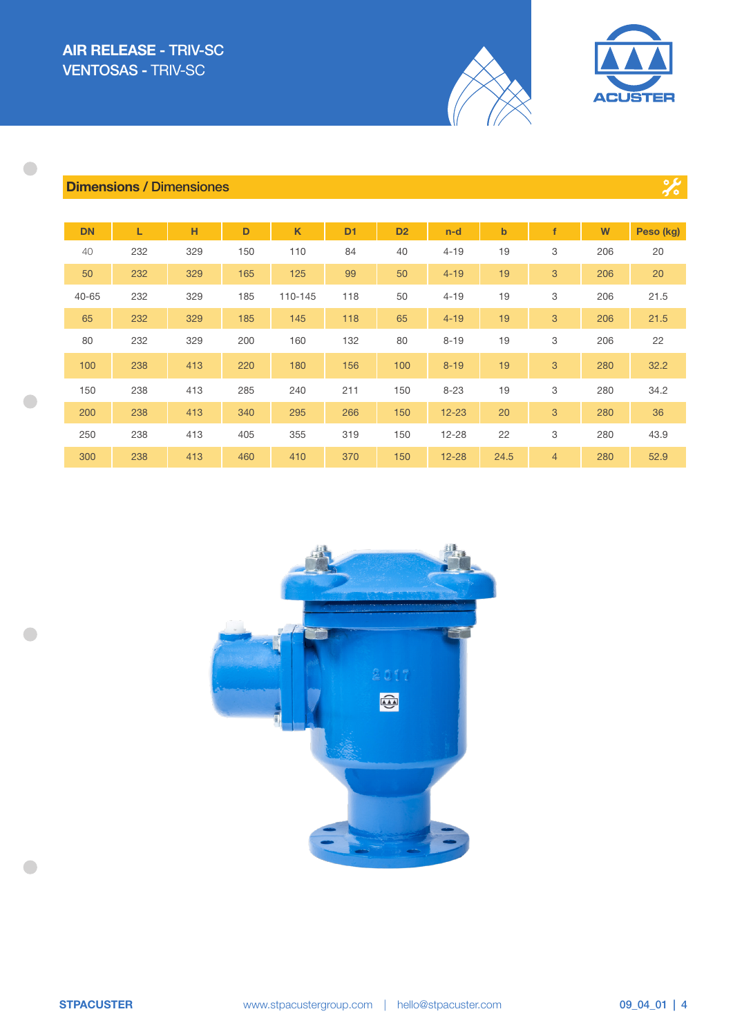

 $\frac{1}{26}$ 

## Dimensions / Dimensiones

 $\begin{array}{c} \bullet \\ \bullet \end{array}$ 

 $\bullet$ 

 $\bullet$ 

 $\bullet$ 

| <b>DN</b> | L   | н   | D   | $\mathsf K$ | D <sub>1</sub> | D <sub>2</sub> | $n-d$     | $\mathbf b$ |                | W   | Peso (kg) |
|-----------|-----|-----|-----|-------------|----------------|----------------|-----------|-------------|----------------|-----|-----------|
| 40        | 232 | 329 | 150 | 110         | 84             | 40             | $4 - 19$  | 19          | 3              | 206 | 20        |
| 50        | 232 | 329 | 165 | 125         | 99             | 50             | $4 - 19$  | 19          | 3              | 206 | 20        |
| 40-65     | 232 | 329 | 185 | 110-145     | 118            | 50             | $4 - 19$  | 19          | 3              | 206 | 21.5      |
| 65        | 232 | 329 | 185 | 145         | 118            | 65             | $4 - 19$  | 19          | 3              | 206 | 21.5      |
| 80        | 232 | 329 | 200 | 160         | 132            | 80             | $8 - 19$  | 19          | 3              | 206 | 22        |
| 100       | 238 | 413 | 220 | 180         | 156            | 100            | $8 - 19$  | 19          | 3              | 280 | 32.2      |
| 150       | 238 | 413 | 285 | 240         | 211            | 150            | $8 - 23$  | 19          | 3              | 280 | 34.2      |
| 200       | 238 | 413 | 340 | 295         | 266            | 150            | $12 - 23$ | 20          | 3              | 280 | 36        |
| 250       | 238 | 413 | 405 | 355         | 319            | 150            | $12 - 28$ | 22          | 3              | 280 | 43.9      |
| 300       | 238 | 413 | 460 | 410         | 370            | 150            | $12 - 28$ | 24.5        | $\overline{4}$ | 280 | 52.9      |